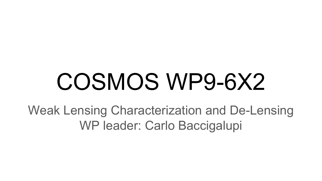# COSMOS WP9-6X2

Weak Lensing Characterization and De-Lensing WP leader: Carlo Baccigalupi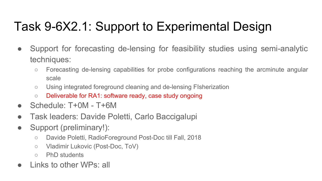## Task 9-6X2.1: Support to Experimental Design

- Support for forecasting de-lensing for feasibility studies using semi-analytic techniques:
	- Forecasting de-lensing capabilities for probe configurations reaching the arcminute angular scale
	- Using integrated foreground cleaning and de-lensing FIsherization
	- Deliverable for RA1: software ready, case study ongoing
- $\bullet$  Schedule: T+0M T+6M
- Task leaders: Davide Poletti, Carlo Baccigalupi
- Support (preliminary!):
	- Davide Poletti, RadioForeground Post-Doc till Fall, 2018
	- Vladimir Lukovic (Post-Doc, ToV)
	- PhD students
- Links to other WPs: all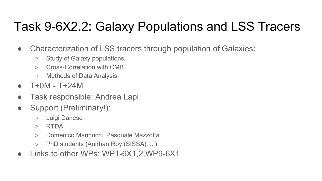### Task 9-6X2.2: Galaxy Populations and LSS Tracers

- Characterization of LSS tracers through population of Galaxies:
	- Study of Galaxy populations
	- Cross-Correlation with CMB
	- Methods of Data Analysis
- T+0M T+24M
- Task responsible: Andrea Lapi
- Support (Preliminary!):
	- Luigi Danese
	- RTDA
	- Domenico Marinucci, Pasquale Mazzotta
	- PhD students (Anirban Roy (SISSA), ...)
- Links to other WPs: WP1-6X1,2,WP9-6X1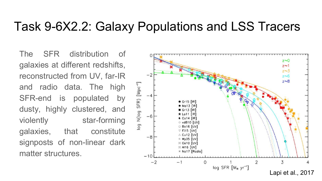#### Task 9-6X2.2: Galaxy Populations and LSS Tracers

The SFR distribution of galaxies at different redshifts, reconstructed from UV, far-IR and radio data. The high SFR-end is populated by dusty, highly clustered, and violently star-forming galaxies, that constitute signposts of non-linear dark matter structures.

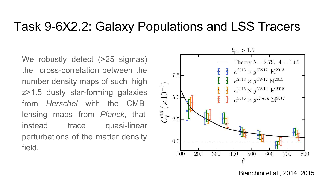#### Task 9-6X2.2: Galaxy Populations and LSS Tracers

We robustly detect (>25 sigmas) the cross-correlation between the number density maps of such high z>1.5 dusty star-forming galaxies from Herschel with the CMB lensing maps from Planck, that instead trace quasi-linear perturbations of the matter density field.



Bianchini et al., 2014, 2015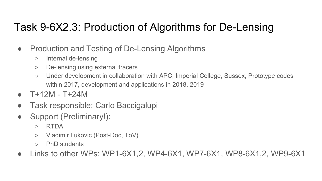#### Task 9-6X2.3: Production of Algorithms for De-Lensing

- Production and Testing of De-Lensing Algorithms
	- Internal de-lensing
	- De-lensing using external tracers
	- Under development in collaboration with APC, Imperial College, Sussex, Prototype codes within 2017, development and applications in 2018, 2019
- $T+12M T+24M$
- Task responsible: Carlo Baccigalupi
- Support (Preliminary!):
	- RTDA
	- Vladimir Lukovic (Post-Doc, ToV)
	- PhD students
- Links to other WPs: WP1-6X1,2, WP4-6X1, WP7-6X1, WP8-6X1,2, WP9-6X1